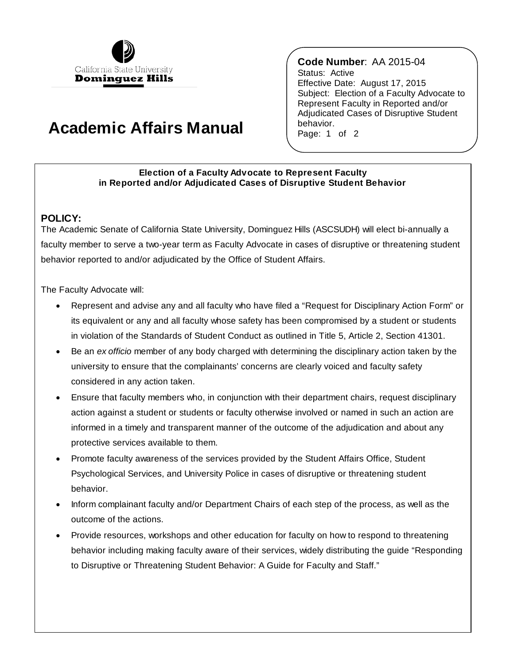

## **Academic Affairs Manual**

 Effective Date: August 17, 2015 **Code Number**: AA 2015-04 Status: Active Subject: Election of a Faculty Advocate to Represent Faculty in Reported and/or Adjudicated Cases of Disruptive Student behavior. Page: 1 of 2

## **Election of a Faculty Advocate to Represent Faculty in Reported and/or Adjudicated Cases of Disruptive Student Behavior**

## **POLICY:**

The Academic Senate of California State University, Dominguez Hills (ASCSUDH) will elect bi-annually a faculty member to serve a two-year term as Faculty Advocate in cases of disruptive or threatening student behavior reported to and/or adjudicated by the Office of Student Affairs.

The Faculty Advocate will:

- Represent and advise any and all faculty who have filed a "Request for Disciplinary Action Form" or its equivalent or any and all faculty whose safety has been compromised by a student or students in violation of the Standards of Student Conduct as outlined in Title 5, Article 2, Section 41301.
- Be an *ex officio* member of any body charged with determining the disciplinary action taken by the university to ensure that the complainants' concerns are clearly voiced and faculty safety considered in any action taken.
- Ensure that faculty members who, in conjunction with their department chairs, request disciplinary action against a student or students or faculty otherwise involved or named in such an action are informed in a timely and transparent manner of the outcome of the adjudication and about any protective services available to them.
- Promote faculty awareness of the services provided by the Student Affairs Office, Student Psychological Services, and University Police in cases of disruptive or threatening student behavior.
- Inform complainant faculty and/or Department Chairs of each step of the process, as well as the outcome of the actions.
- Provide resources, workshops and other education for faculty on how to respond to threatening behavior including making faculty aware of their services, widely distributing the guide "Responding to Disruptive or Threatening Student Behavior: A Guide for Faculty and Staff."